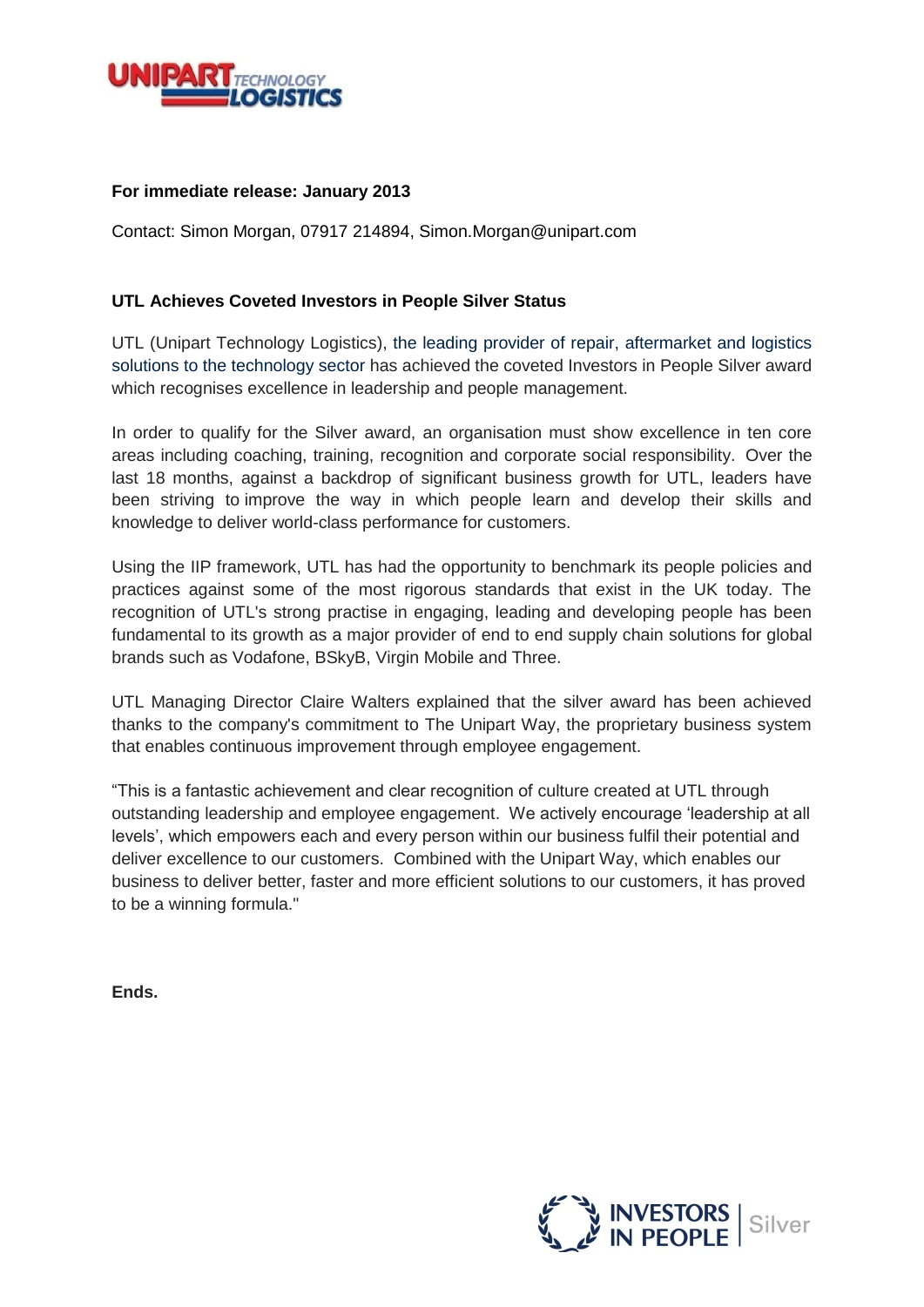

## **For immediate release: January 2013**

Contact: Simon Morgan, 07917 214894, Simon.Morgan@unipart.com

## **UTL Achieves Coveted Investors in People Silver Status**

UTL (Unipart Technology Logistics), the leading provider of repair, aftermarket and logistics solutions to the technology sector has achieved the coveted Investors in People Silver award which recognises excellence in leadership and people management.

In order to qualify for the Silver award, an organisation must show excellence in ten core areas including coaching, training, recognition and corporate social responsibility. Over the last 18 months, against a backdrop of significant business growth for UTL, leaders have been striving to improve the way in which people learn and develop their skills and knowledge to deliver world-class performance for customers.

Using the IIP framework, UTL has had the opportunity to benchmark its people policies and practices against some of the most rigorous standards that exist in the UK today. The recognition of UTL's strong practise in engaging, leading and developing people has been fundamental to its growth as a major provider of end to end supply chain solutions for global brands such as Vodafone, BSkyB, Virgin Mobile and Three.

UTL Managing Director Claire Walters explained that the silver award has been achieved thanks to the company's commitment to The Unipart Way, the proprietary business system that enables continuous improvement through employee engagement.

"This is a fantastic achievement and clear recognition of culture created at UTL through outstanding leadership and employee engagement. We actively encourage 'leadership at all levels', which empowers each and every person within our business fulfil their potential and deliver excellence to our customers. Combined with the Unipart Way, which enables our business to deliver better, faster and more efficient solutions to our customers, it has proved to be a winning formula."

**Ends.**